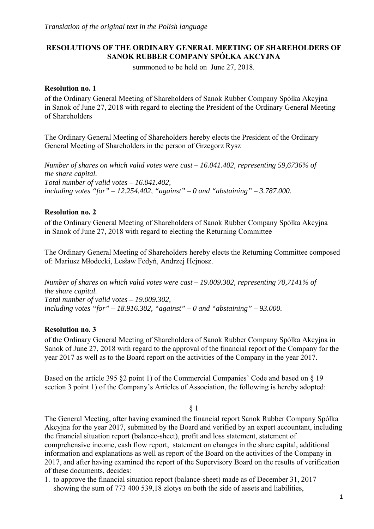## **RESOLUTIONS OF THE ORDINARY GENERAL MEETING OF SHAREHOLDERS OF SANOK RUBBER COMPANY SPÓŁKA AKCYJNA**

summoned to be held on June 27, 2018.

## **Resolution no. 1**

of the Ordinary General Meeting of Shareholders of Sanok Rubber Company Spółka Akcyjna in Sanok of June 27, 2018 with regard to electing the President of the Ordinary General Meeting of Shareholders

The Ordinary General Meeting of Shareholders hereby elects the President of the Ordinary General Meeting of Shareholders in the person of Grzegorz Rysz

*Number of shares on which valid votes were cast – 16.041.402, representing 59,6736% of the share capital. Total number of valid votes – 16.041.402, including votes "for" – 12.254.402, "against" – 0 and "abstaining" – 3.787.000.* 

## **Resolution no. 2**

of the Ordinary General Meeting of Shareholders of Sanok Rubber Company Spółka Akcyjna in Sanok of June 27, 2018 with regard to electing the Returning Committee

The Ordinary General Meeting of Shareholders hereby elects the Returning Committee composed of: Mariusz Młodecki, Lesław Fedyń, Andrzej Hejnosz.

*Number of shares on which valid votes were cast – 19.009.302, representing 70,7141% of the share capital. Total number of valid votes – 19.009.302, including votes "for" – 18.916.302, "against" – 0 and "abstaining" – 93.000.* 

## **Resolution no. 3**

of the Ordinary General Meeting of Shareholders of Sanok Rubber Company Spółka Akcyjna in Sanok of June 27, 2018 with regard to the approval of the financial report of the Company for the year 2017 as well as to the Board report on the activities of the Company in the year 2017.

Based on the article 395 §2 point 1) of the Commercial Companies' Code and based on § 19 section 3 point 1) of the Company's Articles of Association, the following is hereby adopted:

§ 1

The General Meeting, after having examined the financial report Sanok Rubber Company Spółka Akcyjna for the year 2017, submitted by the Board and verified by an expert accountant, including the financial situation report (balance-sheet), profit and loss statement, statement of comprehensive income, cash flow report, statement on changes in the share capital, additional information and explanations as well as report of the Board on the activities of the Company in 2017, and after having examined the report of the Supervisory Board on the results of verification of these documents, decides:

1. to approve the financial situation report (balance-sheet) made as of December 31, 2017 showing the sum of 773 400 539,18 zlotys on both the side of assets and liabilities,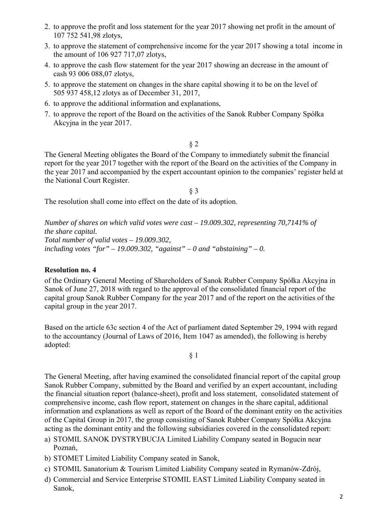- 2. to approve the profit and loss statement for the year 2017 showing net profit in the amount of 107 752 541,98 zlotys,
- 3. to approve the statement of comprehensive income for the year 2017 showing a total income in the amount of 106 927 717,07 zlotys,
- 4. to approve the cash flow statement for the year 2017 showing an decrease in the amount of cash 93 006 088,07 zlotys,
- 5. to approve the statement on changes in the share capital showing it to be on the level of 505 937 458,12 zlotys as of December 31, 2017,
- 6. to approve the additional information and explanations,
- 7. to approve the report of the Board on the activities of the Sanok Rubber Company Spółka Akcyjna in the year 2017.

The General Meeting obligates the Board of the Company to immediately submit the financial report for the year 2017 together with the report of the Board on the activities of the Company in the year 2017 and accompanied by the expert accountant opinion to the companies' register held at the National Court Register.

§ 3

The resolution shall come into effect on the date of its adoption.

*Number of shares on which valid votes were cast – 19.009.302, representing 70,7141% of the share capital. Total number of valid votes – 19.009.302,*  including votes "for" – 19.009.302, "against" – 0 and "abstaining" – 0.

## **Resolution no. 4**

of the Ordinary General Meeting of Shareholders of Sanok Rubber Company Spółka Akcyjna in Sanok of June 27, 2018 with regard to the approval of the consolidated financial report of the capital group Sanok Rubber Company for the year 2017 and of the report on the activities of the capital group in the year 2017.

Based on the article 63c section 4 of the Act of parliament dated September 29, 1994 with regard to the accountancy (Journal of Laws of 2016, Item 1047 as amended), the following is hereby adopted:

§ 1

The General Meeting, after having examined the consolidated financial report of the capital group Sanok Rubber Company, submitted by the Board and verified by an expert accountant, including the financial situation report (balance-sheet), profit and loss statement, consolidated statement of comprehensive income, cash flow report, statement on changes in the share capital, additional information and explanations as well as report of the Board of the dominant entity on the activities of the Capital Group in 2017, the group consisting of Sanok Rubber Company Spółka Akcyjna acting as the dominant entity and the following subsidiaries covered in the consolidated report:

- a) STOMIL SANOK DYSTRYBUCJA Limited Liability Company seated in Bogucin near Poznań,
- b) STOMET Limited Liability Company seated in Sanok,
- c) STOMIL Sanatorium & Tourism Limited Liability Company seated in Rymanów-Zdrój,
- d) Commercial and Service Enterprise STOMIL EAST Limited Liability Company seated in Sanok,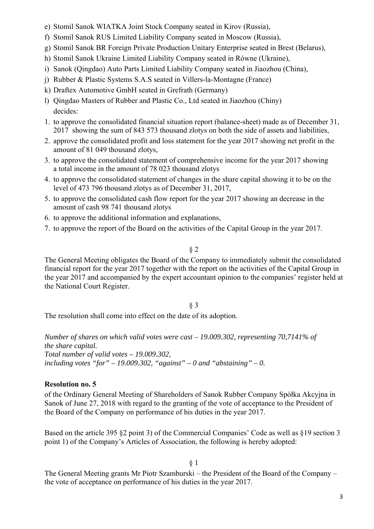- e) Stomil Sanok WIATKA Joint Stock Company seated in Kirov (Russia),
- f) Stomil Sanok RUS Limited Liability Company seated in Moscow (Russia),
- g) Stomil Sanok BR Foreign Private Production Unitary Enterprise seated in Brest (Belarus),
- h) Stomil Sanok Ukraine Limited Liability Company seated in Równe (Ukraine),
- i) Sanok (Qingdao) Auto Parts Limited Liability Company seated in Jiaozhou (China),
- j) Rubber & Plastic Systems S.A.S seated in Villers-la-Montagne (France)
- k) Draftex Automotive GmbH seated in Grefrath (Germany)
- l) Qingdao Masters of Rubber and Plastic Co., Ltd seated in Jiaozhou (Chiny) decides:
- 1. to approve the consolidated financial situation report (balance-sheet) made as of December 31, 2017 showing the sum of 843 573 thousand zlotys on both the side of assets and liabilities,
- 2. approve the consolidated profit and loss statement for the year 2017 showing net profit in the amount of 81 049 thousand zlotys,
- 3. to approve the consolidated statement of comprehensive income for the year 2017 showing a total income in the amount of 78 023 thousand zlotys
- 4. to approve the consolidated statement of changes in the share capital showing it to be on the level of 473 796 thousand zlotys as of December 31, 2017,
- 5. to approve the consolidated cash flow report for the year 2017 showing an decrease in the amount of cash 98 741 thousand zlotys
- 6. to approve the additional information and explanations,
- 7. to approve the report of the Board on the activities of the Capital Group in the year 2017.

The General Meeting obligates the Board of the Company to immediately submit the consolidated financial report for the year 2017 together with the report on the activities of the Capital Group in the year 2017 and accompanied by the expert accountant opinion to the companies' register held at the National Court Register.

# § 3

The resolution shall come into effect on the date of its adoption.

*Number of shares on which valid votes were cast – 19.009.302, representing 70,7141% of the share capital. Total number of valid votes – 19.009.302,*  including votes "for"  $-19.009.302$ , "against"  $-0$  and "abstaining"  $-0$ .

### **Resolution no. 5**

of the Ordinary General Meeting of Shareholders of Sanok Rubber Company Spółka Akcyjna in Sanok of June 27, 2018 with regard to the granting of the vote of acceptance to the President of the Board of the Company on performance of his duties in the year 2017.

Based on the article 395 §2 point 3) of the Commercial Companies' Code as well as §19 section 3 point 1) of the Company's Articles of Association, the following is hereby adopted:

# § 1

The General Meeting grants Mr Piotr Szamburski – the President of the Board of the Company – the vote of acceptance on performance of his duties in the year 2017.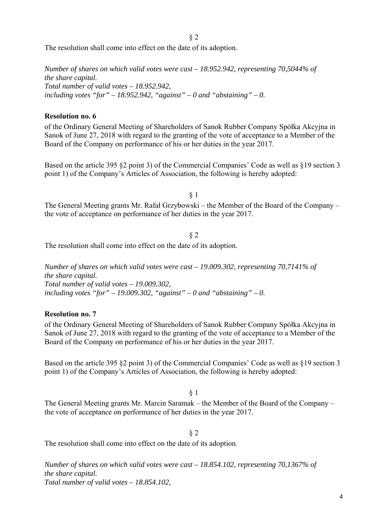The resolution shall come into effect on the date of its adoption.

*Number of shares on which valid votes were cast – 18.952.942, representing 70,5044% of the share capital. Total number of valid votes – 18.952.942,*  including votes "for"  $-18.952.942$ , "against"  $-0$  and "abstaining"  $-0$ .

### **Resolution no. 6**

of the Ordinary General Meeting of Shareholders of Sanok Rubber Company Spółka Akcyjna in Sanok of June 27, 2018 with regard to the granting of the vote of acceptance to a Member of the Board of the Company on performance of his or her duties in the year 2017.

Based on the article 395 §2 point 3) of the Commercial Companies' Code as well as §19 section 3 point 1) of the Company's Articles of Association, the following is hereby adopted:

§ 1

The General Meeting grants Mr. Rafał Grzybowski – the Member of the Board of the Company – the vote of acceptance on performance of her duties in the year 2017.

§ 2 The resolution shall come into effect on the date of its adoption.

*Number of shares on which valid votes were cast – 19.009.302, representing 70,7141% of the share capital. Total number of valid votes – 19.009.302,*  including votes "for"  $-19.009.302$ , "against"  $-0$  and "abstaining"  $-0$ .

## **Resolution no. 7**

of the Ordinary General Meeting of Shareholders of Sanok Rubber Company Spółka Akcyjna in Sanok of June 27, 2018 with regard to the granting of the vote of acceptance to a Member of the Board of the Company on performance of his or her duties in the year 2017.

Based on the article 395 §2 point 3) of the Commercial Companies' Code as well as §19 section 3 point 1) of the Company's Articles of Association, the following is hereby adopted:

§ 1

The General Meeting grants Mr. Marcin Saramak – the Member of the Board of the Company – the vote of acceptance on performance of her duties in the year 2017.

## § 2

The resolution shall come into effect on the date of its adoption.

*Number of shares on which valid votes were cast – 18.854.102, representing 70,1367% of the share capital. Total number of valid votes – 18.854.102,*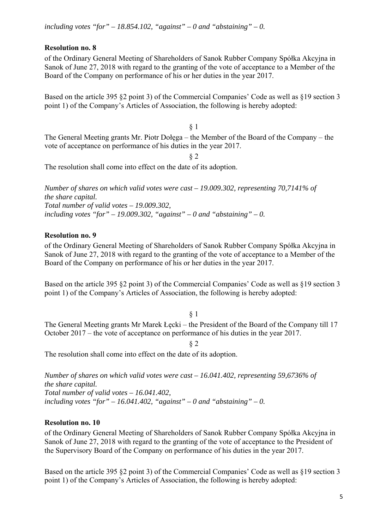## **Resolution no. 8**

of the Ordinary General Meeting of Shareholders of Sanok Rubber Company Spółka Akcyjna in Sanok of June 27, 2018 with regard to the granting of the vote of acceptance to a Member of the Board of the Company on performance of his or her duties in the year 2017.

Based on the article 395 §2 point 3) of the Commercial Companies' Code as well as §19 section 3 point 1) of the Company's Articles of Association, the following is hereby adopted:

§ 1 The General Meeting grants Mr. Piotr Dołęga – the Member of the Board of the Company – the vote of acceptance on performance of his duties in the year 2017.

§ 2

The resolution shall come into effect on the date of its adoption.

*Number of shares on which valid votes were cast – 19.009.302, representing 70,7141% of the share capital. Total number of valid votes – 19.009.302,*  including votes "for"  $-19.009.302$ , "against"  $-0$  and "abstaining"  $-0$ .

## **Resolution no. 9**

of the Ordinary General Meeting of Shareholders of Sanok Rubber Company Spółka Akcyjna in Sanok of June 27, 2018 with regard to the granting of the vote of acceptance to a Member of the Board of the Company on performance of his or her duties in the year 2017.

Based on the article 395 §2 point 3) of the Commercial Companies' Code as well as §19 section 3 point 1) of the Company's Articles of Association, the following is hereby adopted:

## § 1

The General Meeting grants Mr Marek Łęcki – the President of the Board of the Company till 17 October 2017 – the vote of acceptance on performance of his duties in the year 2017.

§ 2

The resolution shall come into effect on the date of its adoption.

*Number of shares on which valid votes were cast – 16.041.402, representing 59,6736% of the share capital. Total number of valid votes – 16.041.402,*  including votes "for" – 16.041.402, "against" – 0 and "abstaining" – 0.

## **Resolution no. 10**

of the Ordinary General Meeting of Shareholders of Sanok Rubber Company Spółka Akcyjna in Sanok of June 27, 2018 with regard to the granting of the vote of acceptance to the President of the Supervisory Board of the Company on performance of his duties in the year 2017.

Based on the article 395 §2 point 3) of the Commercial Companies' Code as well as §19 section 3 point 1) of the Company's Articles of Association, the following is hereby adopted: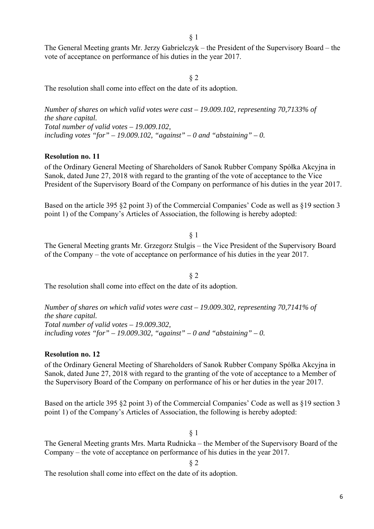The General Meeting grants Mr. Jerzy Gabrielczyk – the President of the Supervisory Board – the vote of acceptance on performance of his duties in the year 2017.

### § 2

The resolution shall come into effect on the date of its adoption.

*Number of shares on which valid votes were cast – 19.009.102, representing 70,7133% of the share capital. Total number of valid votes – 19.009.102,*  including votes "for"  $-19.009.102$ , "against"  $-0$  and "abstaining"  $-0$ .

#### **Resolution no. 11**

of the Ordinary General Meeting of Shareholders of Sanok Rubber Company Spółka Akcyjna in Sanok, dated June 27, 2018 with regard to the granting of the vote of acceptance to the Vice President of the Supervisory Board of the Company on performance of his duties in the year 2017.

Based on the article 395 §2 point 3) of the Commercial Companies' Code as well as §19 section 3 point 1) of the Company's Articles of Association, the following is hereby adopted:

§ 1

§ 2

The General Meeting grants Mr. Grzegorz Stulgis – the Vice President of the Supervisory Board of the Company – the vote of acceptance on performance of his duties in the year 2017.

The resolution shall come into effect on the date of its adoption.

*Number of shares on which valid votes were cast – 19.009.302, representing 70,7141% of the share capital. Total number of valid votes – 19.009.302,*  including votes "for"  $-19.009.302$ , "against"  $-0$  and "abstaining"  $-0$ .

#### **Resolution no. 12**

of the Ordinary General Meeting of Shareholders of Sanok Rubber Company Spółka Akcyjna in Sanok, dated June 27, 2018 with regard to the granting of the vote of acceptance to a Member of the Supervisory Board of the Company on performance of his or her duties in the year 2017.

Based on the article 395 §2 point 3) of the Commercial Companies' Code as well as §19 section 3 point 1) of the Company's Articles of Association, the following is hereby adopted:

#### § 1

The General Meeting grants Mrs. Marta Rudnicka – the Member of the Supervisory Board of the Company – the vote of acceptance on performance of his duties in the year 2017.

§ 2

The resolution shall come into effect on the date of its adoption.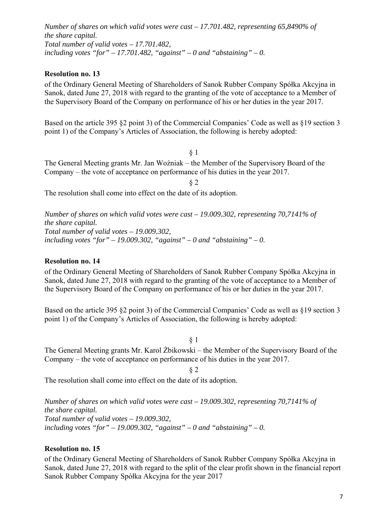*Number of shares on which valid votes were cast – 17.701.482, representing 65,8490% of the share capital. Total number of valid votes – 17.701.482,*  including votes "for"  $-17.701.482$ , "against"  $-0$  and "abstaining"  $-0$ .

## **Resolution no. 13**

of the Ordinary General Meeting of Shareholders of Sanok Rubber Company Spółka Akcyjna in Sanok, dated June 27, 2018 with regard to the granting of the vote of acceptance to a Member of the Supervisory Board of the Company on performance of his or her duties in the year 2017.

Based on the article 395 §2 point 3) of the Commercial Companies' Code as well as §19 section 3 point 1) of the Company's Articles of Association, the following is hereby adopted:

§ 1

The General Meeting grants Mr. Jan Woźniak – the Member of the Supervisory Board of the Company – the vote of acceptance on performance of his duties in the year 2017.

§ 2

The resolution shall come into effect on the date of its adoption.

*Number of shares on which valid votes were cast – 19.009.302, representing 70,7141% of the share capital. Total number of valid votes – 19.009.302,*  including votes "for"  $-19.009.302$ , "against"  $-0$  and "abstaining"  $-0$ .

### **Resolution no. 14**

of the Ordinary General Meeting of Shareholders of Sanok Rubber Company Spółka Akcyjna in Sanok, dated June 27, 2018 with regard to the granting of the vote of acceptance to a Member of the Supervisory Board of the Company on performance of his or her duties in the year 2017.

Based on the article 395 §2 point 3) of the Commercial Companies' Code as well as §19 section 3 point 1) of the Company's Articles of Association, the following is hereby adopted:

§ 1

The General Meeting grants Mr. Karol Żbikowski – the Member of the Supervisory Board of the Company – the vote of acceptance on performance of his duties in the year 2017.

§ 2

The resolution shall come into effect on the date of its adoption.

*Number of shares on which valid votes were cast – 19.009.302, representing 70,7141% of the share capital. Total number of valid votes – 19.009.302,*  including votes "for"  $-19.009.302$ , "against"  $-0$  and "abstaining"  $-0$ .

### **Resolution no. 15**

of the Ordinary General Meeting of Shareholders of Sanok Rubber Company Spółka Akcyjna in Sanok, dated June 27, 2018 with regard to the split of the clear profit shown in the financial report Sanok Rubber Company Spółka Akcyjna for the year 2017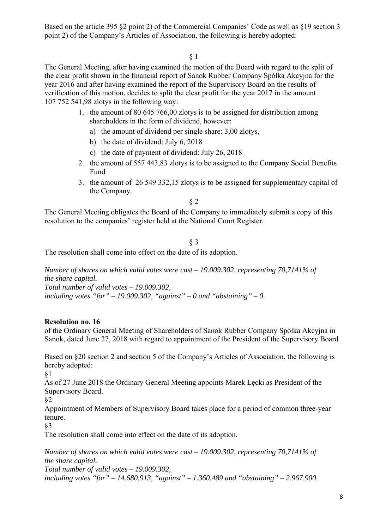Based on the article 395 §2 point 2) of the Commercial Companies' Code as well as §19 section 3 point 2) of the Company's Articles of Association, the following is hereby adopted:

§ 1

The General Meeting, after having examined the motion of the Board with regard to the split of the clear profit shown in the financial report of Sanok Rubber Company Spółka Akcyjna for the year 2016 and after having examined the report of the Supervisory Board on the results of verification of this motion, decides to split the clear profit for the year 2017 in the amount 107 752 541,98 zlotys in the following way:

- 1. the amount of 80 645 766,00 zlotys is to be assigned for distribution among shareholders in the form of dividend, however:
	- a) the amount of dividend per single share: 3,00 zlotys,
	- b) the date of dividend: July 6, 2018
	- c) the date of payment of dividend: July 26, 2018
- 2. the amount of 557 443,83 zlotys is to be assigned to the Company Social Benefits Fund
- 3. the amount of 26 549 332,15 zlotys is to be assigned for supplementary capital of the Company.

§ 2

The General Meeting obligates the Board of the Company to immediately submit a copy of this resolution to the companies' register held at the National Court Register.

§ 3

The resolution shall come into effect on the date of its adoption.

*Number of shares on which valid votes were cast – 19.009.302, representing 70,7141% of the share capital. Total number of valid votes – 19.009.302,*  including votes "for" – 19.009.302, "against" – 0 and "abstaining" – 0.

## **Resolution no. 16**

of the Ordinary General Meeting of Shareholders of Sanok Rubber Company Spółka Akcyjna in Sanok, dated June 27, 2018 with regard to appointment of the President of the Supervisory Board

Based on §20 section 2 and section 5 of the Company's Articles of Association, the following is hereby adopted:

§1

As of 27 June 2018 the Ordinary General Meeting appoints Marek Łecki as President of the Supervisory Board.

§2

Appointment of Members of Supervisory Board takes place for a period of common three-year tenure.

§3

The resolution shall come into effect on the date of its adoption.

*Number of shares on which valid votes were cast – 19.009.302, representing 70,7141% of the share capital. Total number of valid votes – 19.009.302,* 

*including votes "for" – 14.680.913, "against" – 1.360.489 and "abstaining" – 2.967.900.*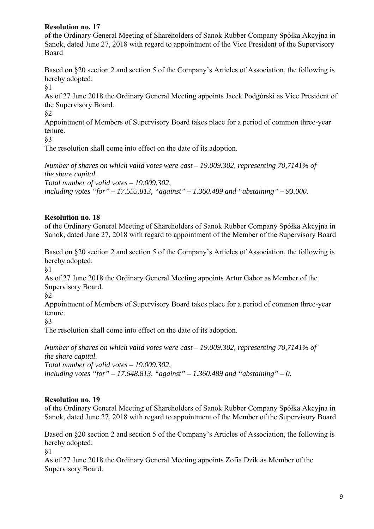## **Resolution no. 17**

of the Ordinary General Meeting of Shareholders of Sanok Rubber Company Spółka Akcyjna in Sanok, dated June 27, 2018 with regard to appointment of the Vice President of the Supervisory Board

Based on §20 section 2 and section 5 of the Company's Articles of Association, the following is hereby adopted:

§1

As of 27 June 2018 the Ordinary General Meeting appoints Jacek Podgórski as Vice President of the Supervisory Board.

§2

Appointment of Members of Supervisory Board takes place for a period of common three-year tenure.

§3

The resolution shall come into effect on the date of its adoption.

*Number of shares on which valid votes were cast – 19.009.302, representing 70,7141% of the share capital. Total number of valid votes – 19.009.302,* 

*including votes "for" – 17.555.813, "against" – 1.360.489 and "abstaining" – 93.000.* 

## **Resolution no. 18**

of the Ordinary General Meeting of Shareholders of Sanok Rubber Company Spółka Akcyjna in Sanok, dated June 27, 2018 with regard to appointment of the Member of the Supervisory Board

Based on §20 section 2 and section 5 of the Company's Articles of Association, the following is hereby adopted:

§1

As of 27 June 2018 the Ordinary General Meeting appoints Artur Gabor as Member of the Supervisory Board.

§2

Appointment of Members of Supervisory Board takes place for a period of common three-year tenure.

§3

The resolution shall come into effect on the date of its adoption.

*Number of shares on which valid votes were cast – 19.009.302, representing 70,7141% of the share capital. Total number of valid votes – 19.009.302, including votes "for" – 17.648.813, "against" – 1.360.489 and "abstaining" – 0.* 

## **Resolution no. 19**

of the Ordinary General Meeting of Shareholders of Sanok Rubber Company Spółka Akcyjna in Sanok, dated June 27, 2018 with regard to appointment of the Member of the Supervisory Board

Based on §20 section 2 and section 5 of the Company's Articles of Association, the following is hereby adopted:

§1

As of 27 June 2018 the Ordinary General Meeting appoints Zofia Dzik as Member of the Supervisory Board.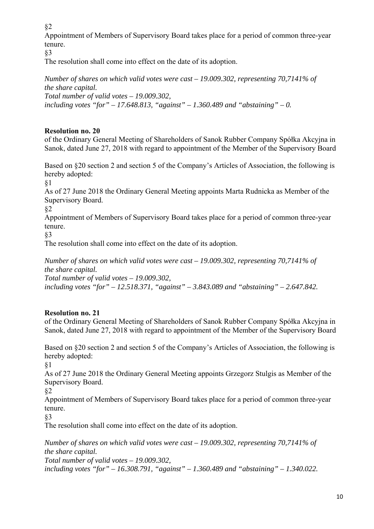Appointment of Members of Supervisory Board takes place for a period of common three-year tenure.

§3

The resolution shall come into effect on the date of its adoption.

*Number of shares on which valid votes were cast – 19.009.302, representing 70,7141% of the share capital. Total number of valid votes – 19.009.302, including votes "for" – 17.648.813, "against" – 1.360.489 and "abstaining" – 0.* 

# **Resolution no. 20**

of the Ordinary General Meeting of Shareholders of Sanok Rubber Company Spółka Akcyjna in Sanok, dated June 27, 2018 with regard to appointment of the Member of the Supervisory Board

Based on §20 section 2 and section 5 of the Company's Articles of Association, the following is hereby adopted:

§1

As of 27 June 2018 the Ordinary General Meeting appoints Marta Rudnicka as Member of the Supervisory Board.

§2

Appointment of Members of Supervisory Board takes place for a period of common three-year tenure.

§3

The resolution shall come into effect on the date of its adoption.

*Number of shares on which valid votes were cast – 19.009.302, representing 70,7141% of the share capital. Total number of valid votes – 19.009.302,* 

*including votes "for" – 12.518.371, "against" – 3.843.089 and "abstaining" – 2.647.842.* 

# **Resolution no. 21**

of the Ordinary General Meeting of Shareholders of Sanok Rubber Company Spółka Akcyjna in Sanok, dated June 27, 2018 with regard to appointment of the Member of the Supervisory Board

Based on §20 section 2 and section 5 of the Company's Articles of Association, the following is hereby adopted:

§1

As of 27 June 2018 the Ordinary General Meeting appoints Grzegorz Stulgis as Member of the Supervisory Board.

§2

Appointment of Members of Supervisory Board takes place for a period of common three-year tenure.

§3

The resolution shall come into effect on the date of its adoption.

*Number of shares on which valid votes were cast – 19.009.302, representing 70,7141% of the share capital. Total number of valid votes – 19.009.302, including votes "for" – 16.308.791, "against" – 1.360.489 and "abstaining" – 1.340.022.*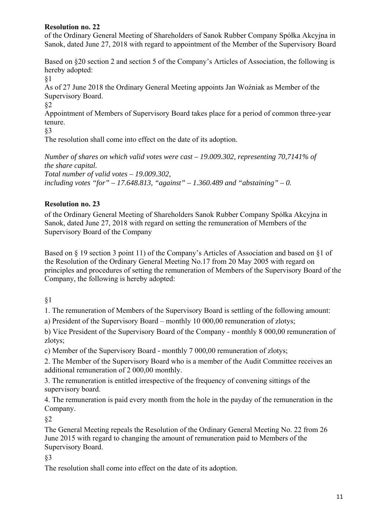## **Resolution no. 22**

of the Ordinary General Meeting of Shareholders of Sanok Rubber Company Spółka Akcyjna in Sanok, dated June 27, 2018 with regard to appointment of the Member of the Supervisory Board

Based on §20 section 2 and section 5 of the Company's Articles of Association, the following is hereby adopted:

§1

As of 27 June 2018 the Ordinary General Meeting appoints Jan Woźniak as Member of the Supervisory Board.

## §2

Appointment of Members of Supervisory Board takes place for a period of common three-year tenure.

§3

The resolution shall come into effect on the date of its adoption.

*Number of shares on which valid votes were cast – 19.009.302, representing 70,7141% of the share capital. Total number of valid votes – 19.009.302, including votes "for" – 17.648.813, "against" – 1.360.489 and "abstaining" – 0.* 

## **Resolution no. 23**

of the Ordinary General Meeting of Shareholders Sanok Rubber Company Spółka Akcyjna in Sanok, dated June 27, 2018 with regard on setting the remuneration of Members of the Supervisory Board of the Company

Based on § 19 section 3 point 11) of the Company's Articles of Association and based on §1 of the Resolution of the Ordinary General Meeting No.17 from 20 May 2005 with regard on principles and procedures of setting the remuneration of Members of the Supervisory Board of the Company, the following is hereby adopted:

§1

1. The remuneration of Members of the Supervisory Board is settling of the following amount:

a) President of the Supervisory Board – monthly 10 000,00 remuneration of zlotys;

b) Vice President of the Supervisory Board of the Company - monthly 8 000,00 remuneration of zlotys;

c) Member of the Supervisory Board - monthly 7 000,00 remuneration of zlotys;

2. The Member of the Supervisory Board who is a member of the Audit Committee receives an additional remuneration of 2 000,00 monthly.

3. The remuneration is entitled irrespective of the frequency of convening sittings of the supervisory board.

4. The remuneration is paid every month from the hole in the payday of the remuneration in the Company.

§2

The General Meeting repeals the Resolution of the Ordinary General Meeting No. 22 from 26 June 2015 with regard to changing the amount of remuneration paid to Members of the Supervisory Board.

§3

The resolution shall come into effect on the date of its adoption.